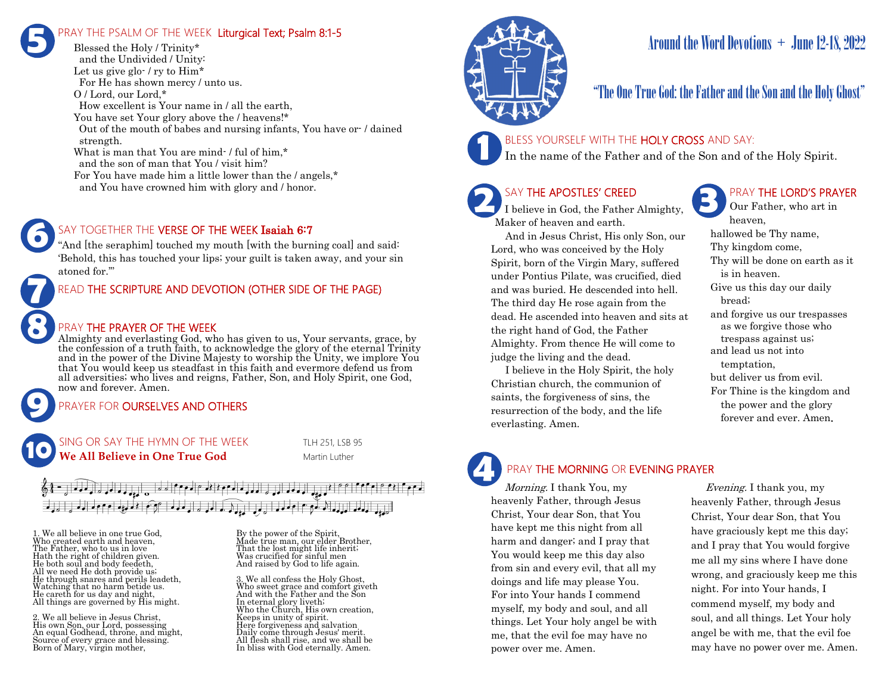# RAY THE PSALM OF THE WEEK Liturgical Text; Psalm 8:1-5 **5**

Blessed the Holy / Trinity\* and the Undivided / Unity: Let us give glo- / ry to  $\text{Him}^*$ For He has shown mercy / unto us. O / Lord, our Lord,\* How excellent is Your name in / all the earth, You have set Your glory above the / heavens!\* Out of the mouth of babes and nursing infants, You have or- / dained strength. What is man that You are mind-/ful of him.<sup>\*</sup> and the son of man that You / visit him? For You have made him a little lower than the / angels,\* and You have crowned him with glory and / honor.

# SAY TOGETHER THE VERSE OF THE WEEK Isaiah 6:7

"And [the seraphim] touched my mouth [with the burning coal] and said: 'Behold, this has touched your lips; your guilt is taken away, and your sin atoned for.'"

# READ THE SCRIPTURE AND DEVOTION (OTHER SIDE OF THE PAGE)

### PRAY THE PRAYER OF THE WEEK

Almighty and everlasting God, who has given to us, Your servants, grace, by the confession of a truth faith, to acknowledge the glory of the eternal Trinity and in the power of the Divine Majesty to worship the Unity, we implore You that You would keep us steadfast in this faith and evermore defend us from all adversities; who lives and reigns, Father, Son, and Holy Spirit, one God, now and forever. Amen.

# PRAYER FOR **OURSELVES AND OTHERS**

SING OR SAY THE HYMN OF THE WEEK TLH 251, LSB 95 **We All Believe in One True God** Martin Luther **10**

# $\frac{1}{2}$  $\left[\left(\begin{smallmatrix} 1 & 0 & 0 \\ 0 & 1 & 0 \\ 0 & 0 & 0 \end{smallmatrix}\right), \left(\begin{smallmatrix} 1 & 0 & 0 & 0 \\ 0 & 0 & 0 & 0 \\ 0 & 0 & 0 & 0 \end{smallmatrix}\right), \left(\begin{smallmatrix} 1 & 0 & 0 & 0 \\ 0 & 1 & 0 & 0 \\ 0 & 0 & 0 & 0 \\ 0 & 0 & 0 & 0 \end{smallmatrix}\right), \left(\begin{smallmatrix} 1 & 0 & 0 & 0 \\ 0 & 1 & 0 & 0 \\ 0 & 0 & 0 & 0 \\ 0 & 0 & 0 & 0 \end{smallmatrix}\right$

1. We all believe in one true God, Who created earth and heaven, The Father, who to us in love Hath the right of children given. He both soul and body feedeth, All we need He doth provide us; He through snares and perils leadeth, Watching that no harm betide us. He careth for us day and night, All things are governed by His might.

**9**

**8**

**7**

**6**

2. We all believe in Jesus Christ, His own Son, our Lord, possessing An equal Godhead, throne, and might, Source of every grace and blessing. Born of Mary, virgin mother,

By the power of the Spirit, Made true man, our elder Brother, That the lost might life inherit; Was crucified for sinful men And raised by God to life again.

3. We all confess the Holy Ghost, Who sweet grace and comfort giveth And with the Father and the Son In eternal glory liveth; Who the Church, His own creation, Keeps in unity of spirit. Here forgiveness and salvation Daily come through Jesus' merit. All flesh shall rise, and we shall be In bliss with God eternally. Amen.



# Around the Word Devotions  $+$  June 12-18, 2022

# "The One True God: the Father and the Son and the Holy Ghost"

### BLESS YOURSELF WITH THE HOLY CROSS AND SAY:

In the name of the Father and of the Son and of the Holy Spirit.

# SAY THE APOSTLES' CREED

I believe in God, the Father Almighty, Maker of heaven and earth.

 And in Jesus Christ, His only Son, our Lord, who was conceived by the Holy Spirit, born of the Virgin Mary, suffered under Pontius Pilate, was crucified, died and was buried. He descended into hell. The third day He rose again from the dead. He ascended into heaven and sits at the right hand of God, the Father Almighty. From thence He will come to judge the living and the dead.

 I believe in the Holy Spirit, the holy Christian church, the communion of saints, the forgiveness of sins, the resurrection of the body, and the life everlasting. Amen.

# PRAY THE LORD'S PRAYER

Our Father, who art in heaven, hallowed be Thy name, Thy kingdom come, Thy will be done on earth as it is in heaven. Give us this day our daily bread; and forgive us our trespasses as we forgive those who trespass against us; and lead us not into temptation, but deliver us from evil. For Thine is the kingdom and the power and the glory forever and ever. Amen.

# PRAY THE MORNING OR EVENING PRAYER

Morning. I thank You, my heavenly Father, through Jesus Christ, Your dear Son, that You have kept me this night from all harm and danger; and I pray that You would keep me this day also from sin and every evil, that all my doings and life may please You. For into Your hands I commend myself, my body and soul, and all things. Let Your holy angel be with me, that the evil foe may have no power over me. Amen. **4**

 Evening. I thank you, my heavenly Father, through Jesus Christ, Your dear Son, that You have graciously kept me this day; and I pray that You would forgive me all my sins where I have done wrong, and graciously keep me this night. For into Your hands, I commend myself, my body and soul, and all things. Let Your holy angel be with me, that the evil foe may have no power over me. Amen.